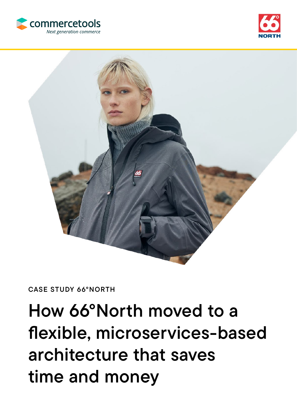





CASE STUDY 66°NORTH

# How 66°North moved to a flexible, microservices-based architecture that saves time and money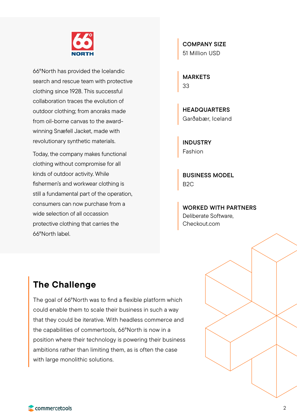

66°North has provided the Icelandic search and rescue team with protective clothing since 1928. This successful collaboration traces the evolution of outdoor clothing; from anoraks made from oil-borne canvas to the awardwinning Snæfell Jacket, made with revolutionary synthetic materials.

Today, the company makes functional clothing without compromise for all kinds of outdoor activity. While fishermen's and workwear clothing is still a fundamental part of the operation, consumers can now purchase from a wide selection of all occassion protective clothing that carries the 66°North label.

COMPANY SIZE 51 Million USD

MARKETS 33

HEADQUARTERS Garðabær, Iceland

INDUSTRY Fashion

BUSINESS MODEL B2C

WORKED WITH PARTNERS Deliberate Software, Checkout.com

## The Challenge

The goal of 66°North was to find a flexible platform which could enable them to scale their business in such a way that they could be iterative. With headless commerce and the capabilities of commertools, 66°North is now in a position where their technology is powering their business ambitions rather than limiting them, as is often the case with large monolithic solutions.

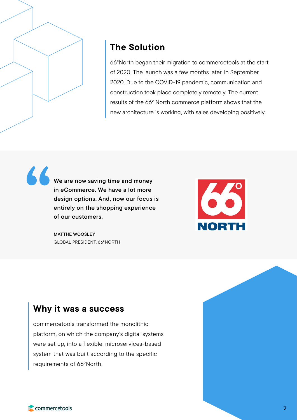

"

## The Solution

66°North began their migration to commercetools at the start of 2020. The launch was a few months later, in September 2020. Due to the COVID-19 pandemic, communication and construction took place completely remotely. The current results of the 66° North commerce platform shows that the new architecture is working, with sales developing positively.

We are now saving time and money in eCommerce. We have a lot more design options. And, now our focus is entirely on the shopping experience of our customers.



MATTHE WOOSLEY GLOBAL PRESIDENT, 66°NORTH

### Why it was a success

commercetools transformed the monolithic platform, on which the company's digital systems were set up, into a flexible, microservices-based system that was built according to the specific requirements of 66°North.